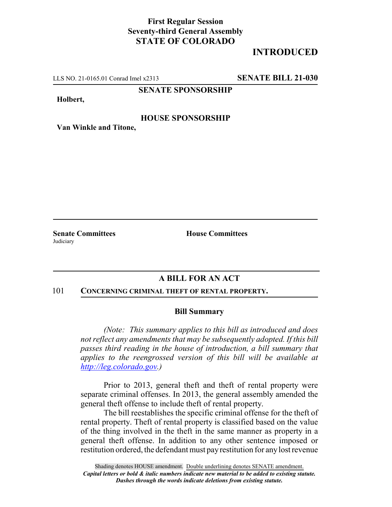# **First Regular Session Seventy-third General Assembly STATE OF COLORADO**

# **INTRODUCED**

LLS NO. 21-0165.01 Conrad Imel x2313 **SENATE BILL 21-030**

### **SENATE SPONSORSHIP**

#### **Holbert,**

### **HOUSE SPONSORSHIP**

**Van Winkle and Titone,**

**Judiciary** 

**Senate Committees House Committees** 

## **A BILL FOR AN ACT**

#### 101 **CONCERNING CRIMINAL THEFT OF RENTAL PROPERTY.**

#### **Bill Summary**

*(Note: This summary applies to this bill as introduced and does not reflect any amendments that may be subsequently adopted. If this bill passes third reading in the house of introduction, a bill summary that applies to the reengrossed version of this bill will be available at http://leg.colorado.gov.)*

Prior to 2013, general theft and theft of rental property were separate criminal offenses. In 2013, the general assembly amended the general theft offense to include theft of rental property.

The bill reestablishes the specific criminal offense for the theft of rental property. Theft of rental property is classified based on the value of the thing involved in the theft in the same manner as property in a general theft offense. In addition to any other sentence imposed or restitution ordered, the defendant must pay restitution for any lost revenue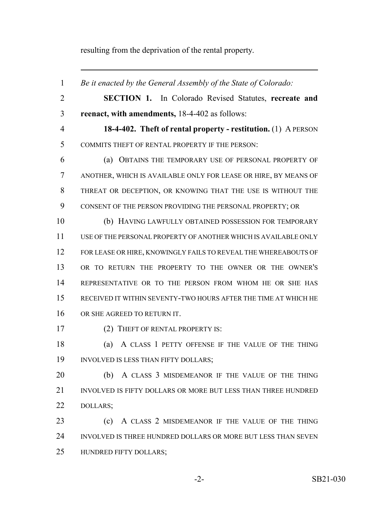resulting from the deprivation of the rental property.

 *Be it enacted by the General Assembly of the State of Colorado:* **SECTION 1.** In Colorado Revised Statutes, **recreate and reenact, with amendments,** 18-4-402 as follows: **18-4-402. Theft of rental property - restitution.** (1) A PERSON COMMITS THEFT OF RENTAL PROPERTY IF THE PERSON: (a) OBTAINS THE TEMPORARY USE OF PERSONAL PROPERTY OF ANOTHER, WHICH IS AVAILABLE ONLY FOR LEASE OR HIRE, BY MEANS OF THREAT OR DECEPTION, OR KNOWING THAT THE USE IS WITHOUT THE CONSENT OF THE PERSON PROVIDING THE PERSONAL PROPERTY; OR (b) HAVING LAWFULLY OBTAINED POSSESSION FOR TEMPORARY USE OF THE PERSONAL PROPERTY OF ANOTHER WHICH IS AVAILABLE ONLY FOR LEASE OR HIRE, KNOWINGLY FAILS TO REVEAL THE WHEREABOUTS OF OR TO RETURN THE PROPERTY TO THE OWNER OR THE OWNER'S REPRESENTATIVE OR TO THE PERSON FROM WHOM HE OR SHE HAS RECEIVED IT WITHIN SEVENTY-TWO HOURS AFTER THE TIME AT WHICH HE 16 OR SHE AGREED TO RETURN IT. 17 (2) THEFT OF RENTAL PROPERTY IS: 18 (a) A CLASS 1 PETTY OFFENSE IF THE VALUE OF THE THING 19 INVOLVED IS LESS THAN FIFTY DOLLARS; (b) A CLASS 3 MISDEMEANOR IF THE VALUE OF THE THING INVOLVED IS FIFTY DOLLARS OR MORE BUT LESS THAN THREE HUNDRED DOLLARS; 23 (c) A CLASS 2 MISDEMEANOR IF THE VALUE OF THE THING INVOLVED IS THREE HUNDRED DOLLARS OR MORE BUT LESS THAN SEVEN HUNDRED FIFTY DOLLARS;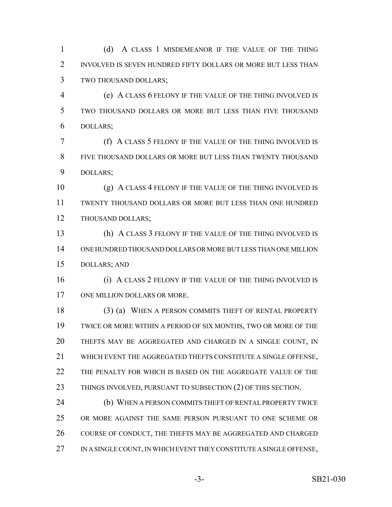(d) A CLASS 1 MISDEMEANOR IF THE VALUE OF THE THING 2 INVOLVED IS SEVEN HUNDRED FIFTY DOLLARS OR MORE BUT LESS THAN TWO THOUSAND DOLLARS;

 (e) A CLASS 6 FELONY IF THE VALUE OF THE THING INVOLVED IS TWO THOUSAND DOLLARS OR MORE BUT LESS THAN FIVE THOUSAND DOLLARS;

 (f) A CLASS 5 FELONY IF THE VALUE OF THE THING INVOLVED IS FIVE THOUSAND DOLLARS OR MORE BUT LESS THAN TWENTY THOUSAND DOLLARS;

 (g) A CLASS 4 FELONY IF THE VALUE OF THE THING INVOLVED IS TWENTY THOUSAND DOLLARS OR MORE BUT LESS THAN ONE HUNDRED THOUSAND DOLLARS;

 (h) A CLASS 3 FELONY IF THE VALUE OF THE THING INVOLVED IS ONE HUNDRED THOUSAND DOLLARS OR MORE BUT LESS THAN ONE MILLION DOLLARS; AND

16 (i) A CLASS 2 FELONY IF THE VALUE OF THE THING INVOLVED IS 17 ONE MILLION DOLLARS OR MORE.

18 (3) (a) WHEN A PERSON COMMITS THEFT OF RENTAL PROPERTY TWICE OR MORE WITHIN A PERIOD OF SIX MONTHS, TWO OR MORE OF THE THEFTS MAY BE AGGREGATED AND CHARGED IN A SINGLE COUNT, IN WHICH EVENT THE AGGREGATED THEFTS CONSTITUTE A SINGLE OFFENSE, THE PENALTY FOR WHICH IS BASED ON THE AGGREGATE VALUE OF THE 23 THINGS INVOLVED, PURSUANT TO SUBSECTION (2) OF THIS SECTION.

 (b) WHEN A PERSON COMMITS THEFT OF RENTAL PROPERTY TWICE OR MORE AGAINST THE SAME PERSON PURSUANT TO ONE SCHEME OR 26 COURSE OF CONDUCT, THE THEFTS MAY BE AGGREGATED AND CHARGED 27 IN A SINGLE COUNT, IN WHICH EVENT THEY CONSTITUTE A SINGLE OFFENSE,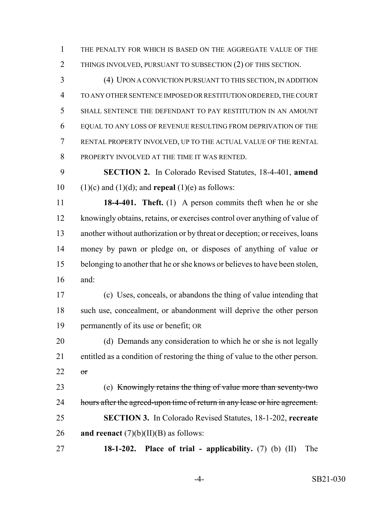THE PENALTY FOR WHICH IS BASED ON THE AGGREGATE VALUE OF THE 2 THINGS INVOLVED, PURSUANT TO SUBSECTION (2) OF THIS SECTION.

 (4) UPON A CONVICTION PURSUANT TO THIS SECTION, IN ADDITION TO ANY OTHER SENTENCE IMPOSED OR RESTITUTION ORDERED, THE COURT SHALL SENTENCE THE DEFENDANT TO PAY RESTITUTION IN AN AMOUNT EQUAL TO ANY LOSS OF REVENUE RESULTING FROM DEPRIVATION OF THE RENTAL PROPERTY INVOLVED, UP TO THE ACTUAL VALUE OF THE RENTAL PROPERTY INVOLVED AT THE TIME IT WAS RENTED.

 **SECTION 2.** In Colorado Revised Statutes, 18-4-401, **amend** 10 (1)(c) and (1)(d); and **repeal** (1)(e) as follows:

 **18-4-401. Theft.** (1) A person commits theft when he or she knowingly obtains, retains, or exercises control over anything of value of another without authorization or by threat or deception; or receives, loans money by pawn or pledge on, or disposes of anything of value or belonging to another that he or she knows or believes to have been stolen, and:

 (c) Uses, conceals, or abandons the thing of value intending that such use, concealment, or abandonment will deprive the other person permanently of its use or benefit; OR

 (d) Demands any consideration to which he or she is not legally entitled as a condition of restoring the thing of value to the other person. 22  $\sigma$ r

 (e) Knowingly retains the thing of value more than seventy-two 24 hours after the agreed-upon time of return in any lease or hire agreement. **SECTION 3.** In Colorado Revised Statutes, 18-1-202, **recreate and reenact** (7)(b)(II)(B) as follows:

**18-1-202. Place of trial - applicability.** (7) (b) (II) The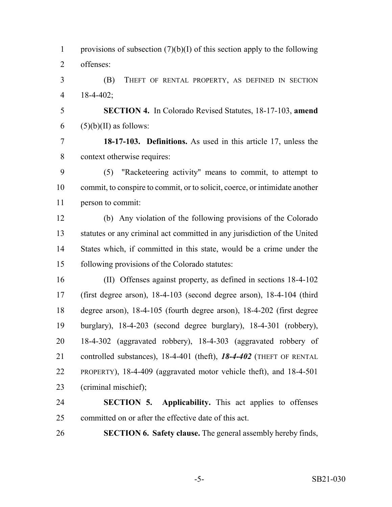1 provisions of subsection  $(7)(b)(I)$  of this section apply to the following offenses: (B) THEFT OF RENTAL PROPERTY, AS DEFINED IN SECTION 18-4-402; **SECTION 4.** In Colorado Revised Statutes, 18-17-103, **amend**  $(5)(b)(II)$  as follows: **18-17-103. Definitions.** As used in this article 17, unless the

context otherwise requires:

 (5) "Racketeering activity" means to commit, to attempt to commit, to conspire to commit, or to solicit, coerce, or intimidate another person to commit:

 (b) Any violation of the following provisions of the Colorado statutes or any criminal act committed in any jurisdiction of the United States which, if committed in this state, would be a crime under the following provisions of the Colorado statutes:

 (II) Offenses against property, as defined in sections 18-4-102 (first degree arson), 18-4-103 (second degree arson), 18-4-104 (third degree arson), 18-4-105 (fourth degree arson), 18-4-202 (first degree burglary), 18-4-203 (second degree burglary), 18-4-301 (robbery), 18-4-302 (aggravated robbery), 18-4-303 (aggravated robbery of controlled substances), 18-4-401 (theft), *18-4-402* (THEFT OF RENTAL PROPERTY), 18-4-409 (aggravated motor vehicle theft), and 18-4-501 (criminal mischief);

 **SECTION 5. Applicability.** This act applies to offenses committed on or after the effective date of this act.

**SECTION 6. Safety clause.** The general assembly hereby finds,